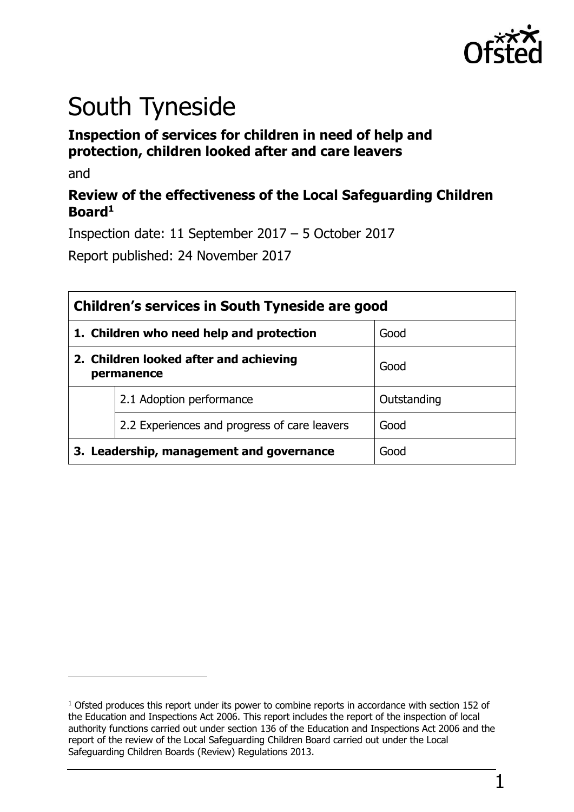

# South Tyneside

# **Inspection of services for children in need of help and protection, children looked after and care leavers**

and

 $\overline{a}$ 

# **Review of the effectiveness of the Local Safeguarding Children Board<sup>1</sup>**

Inspection date: 11 September 2017 – 5 October 2017

Report published: 24 November 2017

| Children's services in South Tyneside are good       |                                              |             |  |
|------------------------------------------------------|----------------------------------------------|-------------|--|
| 1. Children who need help and protection             |                                              | Good        |  |
| 2. Children looked after and achieving<br>permanence |                                              | Good        |  |
|                                                      | 2.1 Adoption performance                     | Outstanding |  |
|                                                      | 2.2 Experiences and progress of care leavers | Good        |  |
| 3. Leadership, management and governance             |                                              | Good        |  |

<sup>&</sup>lt;sup>1</sup> Ofsted produces this report under its power to combine reports in accordance with section 152 of the Education and Inspections Act 2006. This report includes the report of the inspection of local authority functions carried out under section 136 of the Education and Inspections Act 2006 and the report of the review of the Local Safeguarding Children Board carried out under the Local Safeguarding Children Boards (Review) Regulations 2013.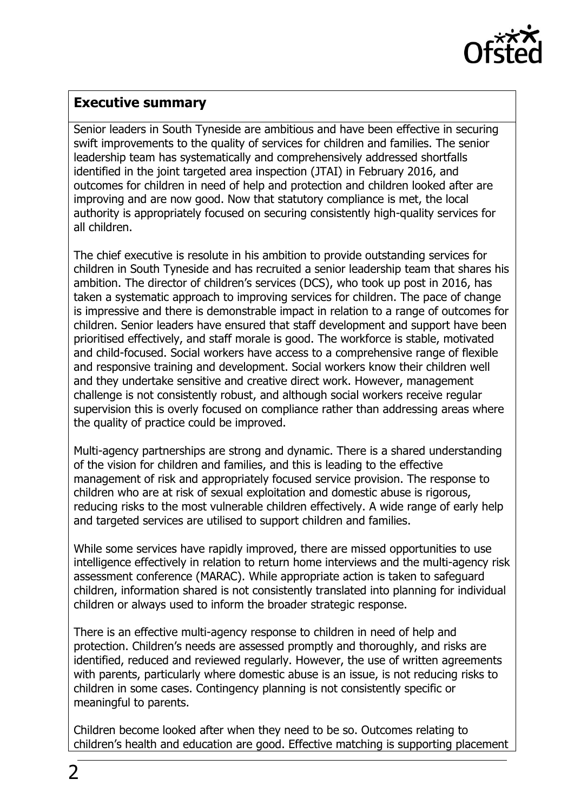

#### <span id="page-1-0"></span>**Executive summary**

Senior leaders in South Tyneside are ambitious and have been effective in securing swift improvements to the quality of services for children and families. The senior leadership team has systematically and comprehensively addressed shortfalls identified in the joint targeted area inspection (JTAI) in February 2016, and outcomes for children in need of help and protection and children looked after are improving and are now good. Now that statutory compliance is met, the local authority is appropriately focused on securing consistently high-quality services for all children.

The chief executive is resolute in his ambition to provide outstanding services for children in South Tyneside and has recruited a senior leadership team that shares his ambition. The director of children's services (DCS), who took up post in 2016, has taken a systematic approach to improving services for children. The pace of change is impressive and there is demonstrable impact in relation to a range of outcomes for children. Senior leaders have ensured that staff development and support have been prioritised effectively, and staff morale is good. The workforce is stable, motivated and child-focused. Social workers have access to a comprehensive range of flexible and responsive training and development. Social workers know their children well and they undertake sensitive and creative direct work. However, management challenge is not consistently robust, and although social workers receive regular supervision this is overly focused on compliance rather than addressing areas where the quality of practice could be improved.

Multi-agency partnerships are strong and dynamic. There is a shared understanding of the vision for children and families, and this is leading to the effective management of risk and appropriately focused service provision. The response to children who are at risk of sexual exploitation and domestic abuse is rigorous, reducing risks to the most vulnerable children effectively. A wide range of early help and targeted services are utilised to support children and families.

While some services have rapidly improved, there are missed opportunities to use intelligence effectively in relation to return home interviews and the multi-agency risk assessment conference (MARAC). While appropriate action is taken to safeguard children, information shared is not consistently translated into planning for individual children or always used to inform the broader strategic response.

There is an effective multi-agency response to children in need of help and protection. Children's needs are assessed promptly and thoroughly, and risks are identified, reduced and reviewed regularly. However, the use of written agreements with parents, particularly where domestic abuse is an issue, is not reducing risks to children in some cases. Contingency planning is not consistently specific or meaningful to parents.

Children become looked after when they need to be so. Outcomes relating to children's health and education are good. Effective matching is supporting placement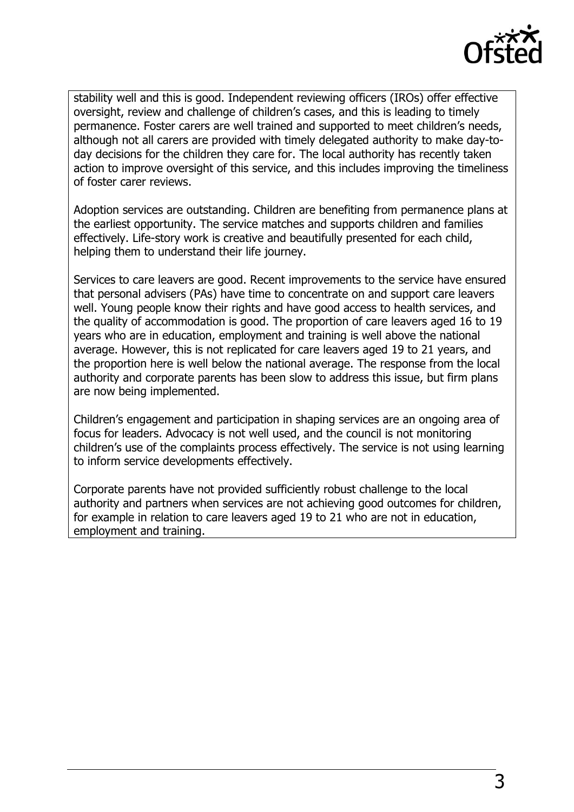

stability well and this is good. Independent reviewing officers (IROs) offer effective oversight, review and challenge of children's cases, and this is leading to timely permanence. Foster carers are well trained and supported to meet children's needs, although not all carers are provided with timely delegated authority to make day-today decisions for the children they care for. The local authority has recently taken action to improve oversight of this service, and this includes improving the timeliness of foster carer reviews.

Adoption services are outstanding. Children are benefiting from permanence plans at the earliest opportunity. The service matches and supports children and families effectively. Life-story work is creative and beautifully presented for each child, helping them to understand their life journey.

Services to care leavers are good. Recent improvements to the service have ensured that personal advisers (PAs) have time to concentrate on and support care leavers well. Young people know their rights and have good access to health services, and the quality of accommodation is good. The proportion of care leavers aged 16 to 19 years who are in education, employment and training is well above the national average. However, this is not replicated for care leavers aged 19 to 21 years, and the proportion here is well below the national average. The response from the local authority and corporate parents has been slow to address this issue, but firm plans are now being implemented.

Children's engagement and participation in shaping services are an ongoing area of focus for leaders. Advocacy is not well used, and the council is not monitoring children's use of the complaints process effectively. The service is not using learning to inform service developments effectively.

Corporate parents have not provided sufficiently robust challenge to the local authority and partners when services are not achieving good outcomes for children, for example in relation to care leavers aged 19 to 21 who are not in education, employment and training.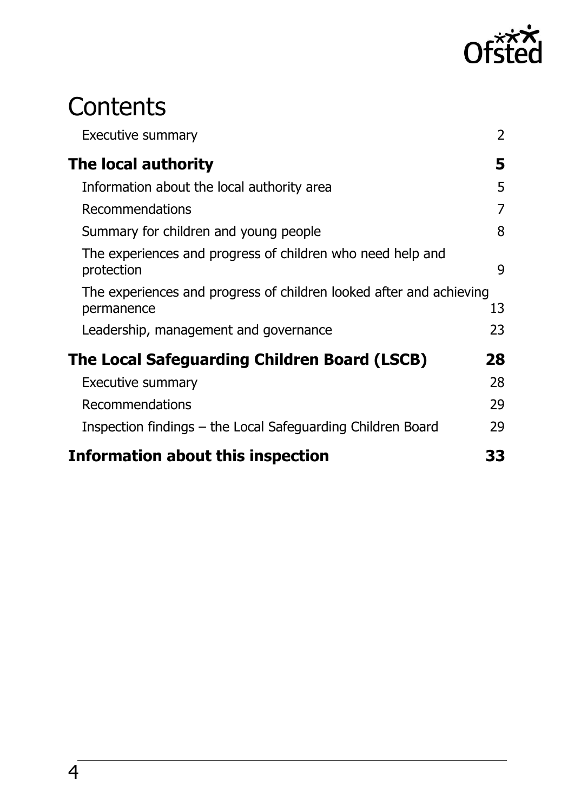

# **Contents**

| <b>Executive summary</b>                                                          | $\overline{2}$ |
|-----------------------------------------------------------------------------------|----------------|
| The local authority                                                               | 5              |
| Information about the local authority area                                        | 5              |
| Recommendations                                                                   | $\overline{7}$ |
| Summary for children and young people                                             | 8              |
| The experiences and progress of children who need help and<br>protection          | 9              |
| The experiences and progress of children looked after and achieving<br>permanence | 13             |
| Leadership, management and governance                                             | 23             |
| The Local Safeguarding Children Board (LSCB)                                      | 28             |
| <b>Executive summary</b>                                                          | 28             |
| Recommendations                                                                   | 29             |
| Inspection findings – the Local Safeguarding Children Board                       | 29             |
| <b>Information about this inspection</b>                                          | 33             |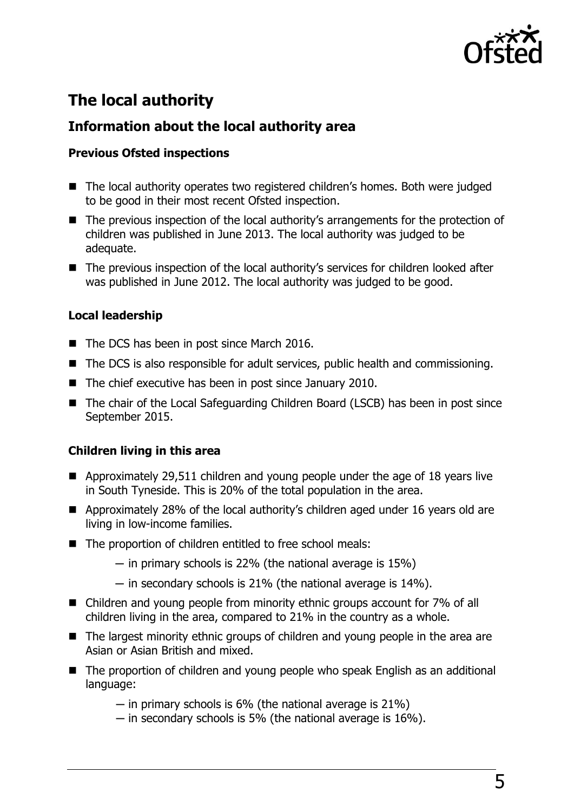

# <span id="page-4-0"></span>**The local authority**

# <span id="page-4-1"></span>**Information about the local authority area**

#### **Previous Ofsted inspections**

- The local authority operates two registered children's homes. Both were judged to be good in their most recent Ofsted inspection.
- The previous inspection of the local authority's arrangements for the protection of children was published in June 2013. The local authority was judged to be adequate.
- The previous inspection of the local authority's services for children looked after was published in June 2012. The local authority was judged to be good.

#### **Local leadership**

- $\blacksquare$  The DCS has been in post since March 2016.
- The DCS is also responsible for adult services, public health and commissioning.
- The chief executive has been in post since January 2010.
- The chair of the Local Safeguarding Children Board (LSCB) has been in post since September 2015.

#### **Children living in this area**

- Approximately 29,511 children and young people under the age of 18 years live in South Tyneside. This is 20% of the total population in the area.
- Approximately 28% of the local authority's children aged under 16 years old are living in low-income families.
- The proportion of children entitled to free school meals:
	- $-$  in primary schools is 22% (the national average is 15%)
	- $-$  in secondary schools is 21% (the national average is 14%).
- Children and young people from minority ethnic groups account for 7% of all children living in the area, compared to 21% in the country as a whole.
- The largest minority ethnic groups of children and young people in the area are Asian or Asian British and mixed.
- The proportion of children and young people who speak English as an additional language:
	- $-$  in primary schools is 6% (the national average is 21%)
	- ─ in secondary schools is 5% (the national average is 16%).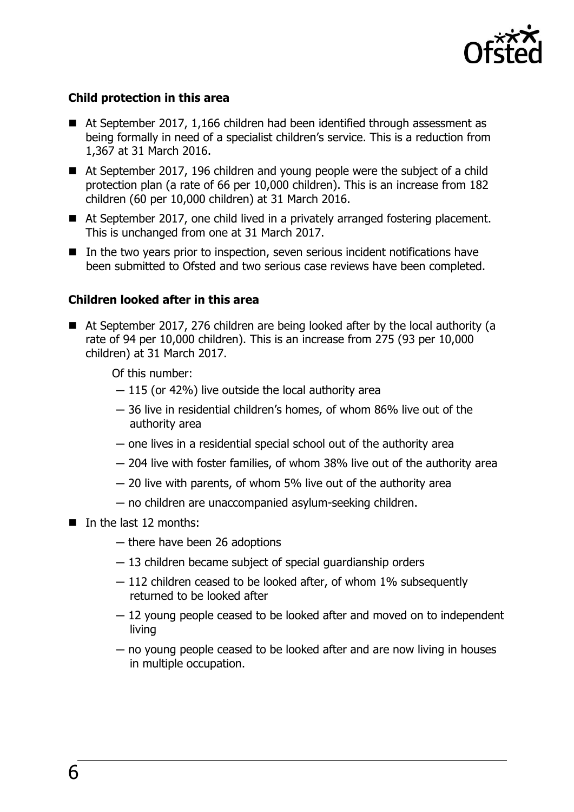

#### **Child protection in this area**

- At September 2017, 1,166 children had been identified through assessment as being formally in need of a specialist children's service. This is a reduction from 1,367 at 31 March 2016.
- At September 2017, 196 children and young people were the subject of a child protection plan (a rate of 66 per 10,000 children). This is an increase from 182 children (60 per 10,000 children) at 31 March 2016.
- At September 2017, one child lived in a privately arranged fostering placement. This is unchanged from one at 31 March 2017.
- $\blacksquare$  In the two years prior to inspection, seven serious incident notifications have been submitted to Ofsted and two serious case reviews have been completed.

#### **Children looked after in this area**

■ At September 2017, 276 children are being looked after by the local authority (a rate of 94 per 10,000 children). This is an increase from 275 (93 per 10,000 children) at 31 March 2017.

Of this number:

- $-115$  (or 42%) live outside the local authority area
- ─ 36 live in residential children's homes, of whom 86% live out of the authority area
- ─ one lives in a residential special school out of the authority area
- ─ 204 live with foster families, of whom 38% live out of the authority area
- $-$  20 live with parents, of whom 5% live out of the authority area
- ─ no children are unaccompanied asylum-seeking children.
- $\blacksquare$  In the last 12 months:
	- ─ there have been 26 adoptions
	- $-13$  children became subject of special guardianship orders
	- $-112$  children ceased to be looked after, of whom 1% subsequently returned to be looked after
	- ─ 12 young people ceased to be looked after and moved on to independent living
	- ─ no young people ceased to be looked after and are now living in houses in multiple occupation.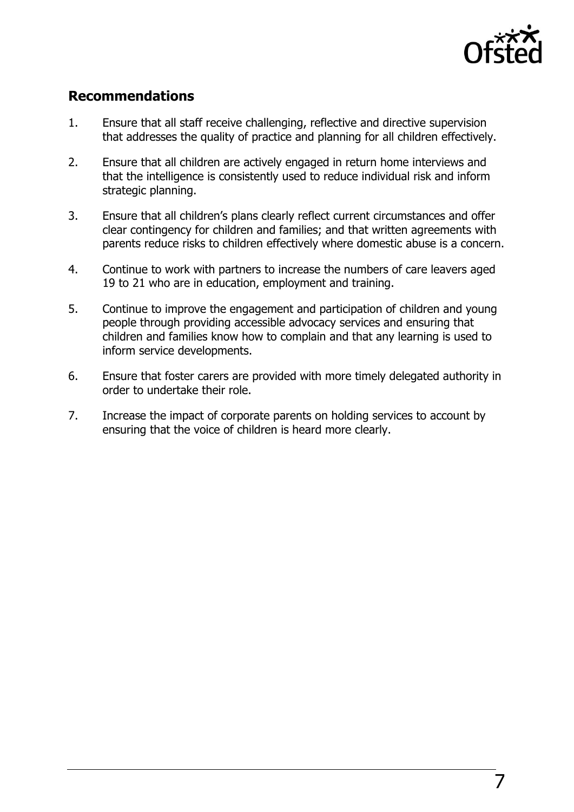

7

# <span id="page-6-0"></span>**Recommendations**

- 1. Ensure that all staff receive challenging, reflective and directive supervision that addresses the quality of practice and planning for all children effectively.
- 2. Ensure that all children are actively engaged in return home interviews and that the intelligence is consistently used to reduce individual risk and inform strategic planning.
- 3. Ensure that all children's plans clearly reflect current circumstances and offer clear contingency for children and families; and that written agreements with parents reduce risks to children effectively where domestic abuse is a concern.
- 4. Continue to work with partners to increase the numbers of care leavers aged 19 to 21 who are in education, employment and training.
- 5. Continue to improve the engagement and participation of children and young people through providing accessible advocacy services and ensuring that children and families know how to complain and that any learning is used to inform service developments.
- 6. Ensure that foster carers are provided with more timely delegated authority in order to undertake their role.
- 7. Increase the impact of corporate parents on holding services to account by ensuring that the voice of children is heard more clearly.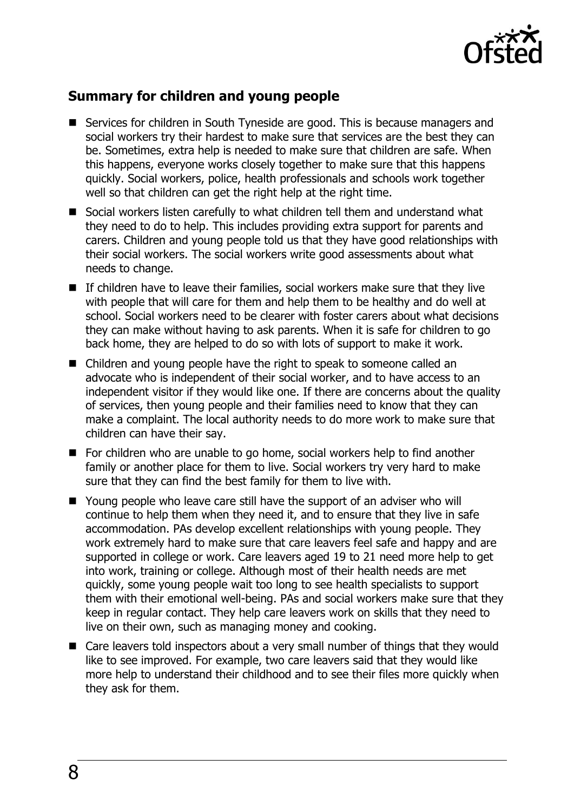

# <span id="page-7-0"></span>**Summary for children and young people**

- Services for children in South Tyneside are good. This is because managers and social workers try their hardest to make sure that services are the best they can be. Sometimes, extra help is needed to make sure that children are safe. When this happens, everyone works closely together to make sure that this happens quickly. Social workers, police, health professionals and schools work together well so that children can get the right help at the right time.
- Social workers listen carefully to what children tell them and understand what they need to do to help. This includes providing extra support for parents and carers. Children and young people told us that they have good relationships with their social workers. The social workers write good assessments about what needs to change.
- $\blacksquare$  If children have to leave their families, social workers make sure that they live with people that will care for them and help them to be healthy and do well at school. Social workers need to be clearer with foster carers about what decisions they can make without having to ask parents. When it is safe for children to go back home, they are helped to do so with lots of support to make it work.
- Children and young people have the right to speak to someone called an advocate who is independent of their social worker, and to have access to an independent visitor if they would like one. If there are concerns about the quality of services, then young people and their families need to know that they can make a complaint. The local authority needs to do more work to make sure that children can have their say.
- For children who are unable to go home, social workers help to find another family or another place for them to live. Social workers try very hard to make sure that they can find the best family for them to live with.
- Young people who leave care still have the support of an adviser who will continue to help them when they need it, and to ensure that they live in safe accommodation. PAs develop excellent relationships with young people. They work extremely hard to make sure that care leavers feel safe and happy and are supported in college or work. Care leavers aged 19 to 21 need more help to get into work, training or college. Although most of their health needs are met quickly, some young people wait too long to see health specialists to support them with their emotional well-being. PAs and social workers make sure that they keep in regular contact. They help care leavers work on skills that they need to live on their own, such as managing money and cooking.
- Care leavers told inspectors about a very small number of things that they would like to see improved. For example, two care leavers said that they would like more help to understand their childhood and to see their files more quickly when they ask for them.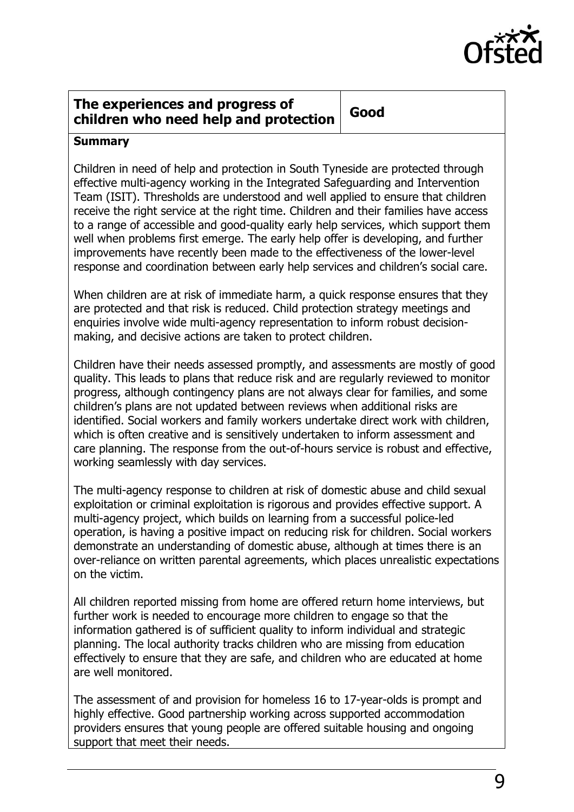

#### <span id="page-8-0"></span>**The experiences and progress of children who need help and protection Good**

#### **Summary**

Children in need of help and protection in South Tyneside are protected through effective multi-agency working in the Integrated Safeguarding and Intervention Team (ISIT). Thresholds are understood and well applied to ensure that children receive the right service at the right time. Children and their families have access to a range of accessible and good-quality early help services, which support them well when problems first emerge. The early help offer is developing, and further improvements have recently been made to the effectiveness of the lower-level response and coordination between early help services and children's social care.

When children are at risk of immediate harm, a quick response ensures that they are protected and that risk is reduced. Child protection strategy meetings and enquiries involve wide multi-agency representation to inform robust decisionmaking, and decisive actions are taken to protect children.

Children have their needs assessed promptly, and assessments are mostly of good quality. This leads to plans that reduce risk and are regularly reviewed to monitor progress, although contingency plans are not always clear for families, and some children's plans are not updated between reviews when additional risks are identified. Social workers and family workers undertake direct work with children, which is often creative and is sensitively undertaken to inform assessment and care planning. The response from the out-of-hours service is robust and effective, working seamlessly with day services.

The multi-agency response to children at risk of domestic abuse and child sexual exploitation or criminal exploitation is rigorous and provides effective support. A multi-agency project, which builds on learning from a successful police-led operation, is having a positive impact on reducing risk for children. Social workers demonstrate an understanding of domestic abuse, although at times there is an over-reliance on written parental agreements, which places unrealistic expectations on the victim.

All children reported missing from home are offered return home interviews, but further work is needed to encourage more children to engage so that the information gathered is of sufficient quality to inform individual and strategic planning. The local authority tracks children who are missing from education effectively to ensure that they are safe, and children who are educated at home are well monitored.

The assessment of and provision for homeless 16 to 17-year-olds is prompt and highly effective. Good partnership working across supported accommodation providers ensures that young people are offered suitable housing and ongoing support that meet their needs.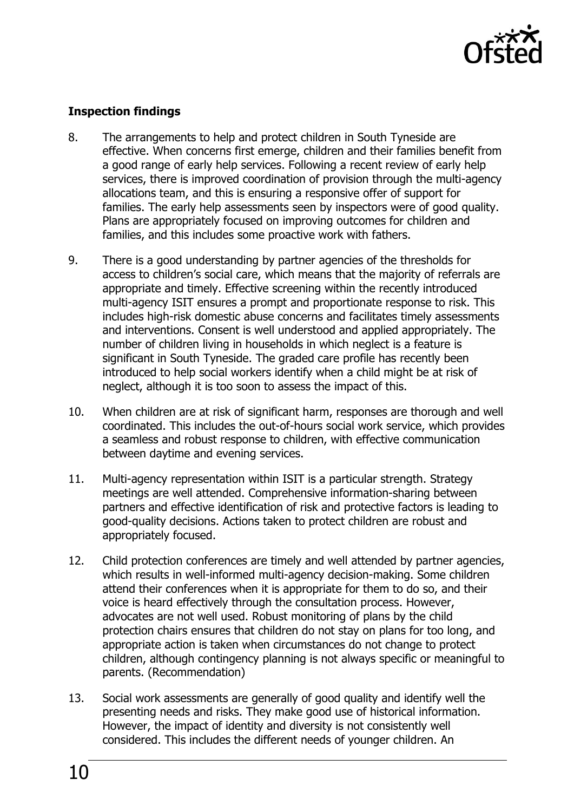

#### **Inspection findings**

- 8. The arrangements to help and protect children in South Tyneside are effective. When concerns first emerge, children and their families benefit from a good range of early help services. Following a recent review of early help services, there is improved coordination of provision through the multi-agency allocations team, and this is ensuring a responsive offer of support for families. The early help assessments seen by inspectors were of good quality. Plans are appropriately focused on improving outcomes for children and families, and this includes some proactive work with fathers.
- 9. There is a good understanding by partner agencies of the thresholds for access to children's social care, which means that the majority of referrals are appropriate and timely. Effective screening within the recently introduced multi-agency ISIT ensures a prompt and proportionate response to risk. This includes high-risk domestic abuse concerns and facilitates timely assessments and interventions. Consent is well understood and applied appropriately. The number of children living in households in which neglect is a feature is significant in South Tyneside. The graded care profile has recently been introduced to help social workers identify when a child might be at risk of neglect, although it is too soon to assess the impact of this.
- 10. When children are at risk of significant harm, responses are thorough and well coordinated. This includes the out-of-hours social work service, which provides a seamless and robust response to children, with effective communication between daytime and evening services.
- 11. Multi-agency representation within ISIT is a particular strength. Strategy meetings are well attended. Comprehensive information-sharing between partners and effective identification of risk and protective factors is leading to good-quality decisions. Actions taken to protect children are robust and appropriately focused.
- 12. Child protection conferences are timely and well attended by partner agencies, which results in well-informed multi-agency decision-making. Some children attend their conferences when it is appropriate for them to do so, and their voice is heard effectively through the consultation process. However, advocates are not well used. Robust monitoring of plans by the child protection chairs ensures that children do not stay on plans for too long, and appropriate action is taken when circumstances do not change to protect children, although contingency planning is not always specific or meaningful to parents. (Recommendation)
- 13. Social work assessments are generally of good quality and identify well the presenting needs and risks. They make good use of historical information. However, the impact of identity and diversity is not consistently well considered. This includes the different needs of younger children. An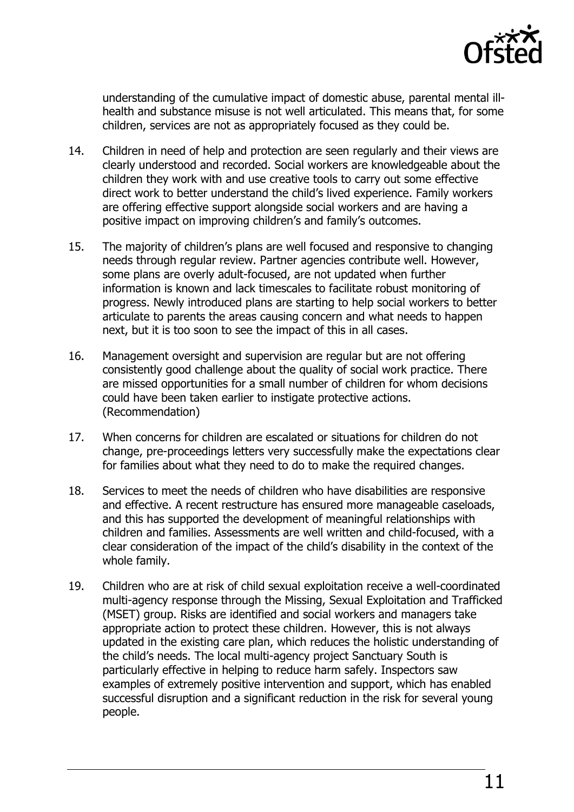

understanding of the cumulative impact of domestic abuse, parental mental illhealth and substance misuse is not well articulated. This means that, for some children, services are not as appropriately focused as they could be.

- 14. Children in need of help and protection are seen regularly and their views are clearly understood and recorded. Social workers are knowledgeable about the children they work with and use creative tools to carry out some effective direct work to better understand the child's lived experience. Family workers are offering effective support alongside social workers and are having a positive impact on improving children's and family's outcomes.
- 15. The majority of children's plans are well focused and responsive to changing needs through regular review. Partner agencies contribute well. However, some plans are overly adult-focused, are not updated when further information is known and lack timescales to facilitate robust monitoring of progress. Newly introduced plans are starting to help social workers to better articulate to parents the areas causing concern and what needs to happen next, but it is too soon to see the impact of this in all cases.
- 16. Management oversight and supervision are regular but are not offering consistently good challenge about the quality of social work practice. There are missed opportunities for a small number of children for whom decisions could have been taken earlier to instigate protective actions. (Recommendation)
- 17. When concerns for children are escalated or situations for children do not change, pre-proceedings letters very successfully make the expectations clear for families about what they need to do to make the required changes.
- 18. Services to meet the needs of children who have disabilities are responsive and effective. A recent restructure has ensured more manageable caseloads, and this has supported the development of meaningful relationships with children and families. Assessments are well written and child-focused, with a clear consideration of the impact of the child's disability in the context of the whole family.
- 19. Children who are at risk of child sexual exploitation receive a well-coordinated multi-agency response through the Missing, Sexual Exploitation and Trafficked (MSET) group. Risks are identified and social workers and managers take appropriate action to protect these children. However, this is not always updated in the existing care plan, which reduces the holistic understanding of the child's needs. The local multi-agency project Sanctuary South is particularly effective in helping to reduce harm safely. Inspectors saw examples of extremely positive intervention and support, which has enabled successful disruption and a significant reduction in the risk for several young people.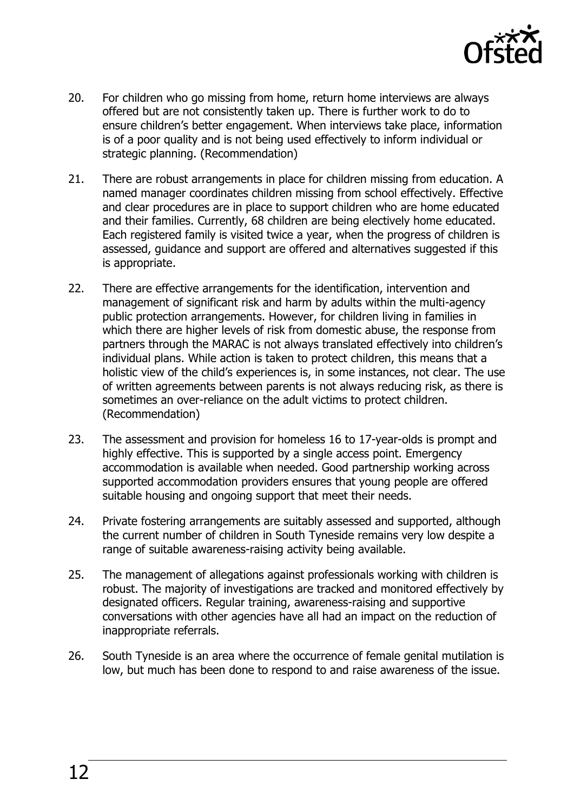

- 20. For children who go missing from home, return home interviews are always offered but are not consistently taken up. There is further work to do to ensure children's better engagement. When interviews take place, information is of a poor quality and is not being used effectively to inform individual or strategic planning. (Recommendation)
- 21. There are robust arrangements in place for children missing from education. A named manager coordinates children missing from school effectively. Effective and clear procedures are in place to support children who are home educated and their families. Currently, 68 children are being electively home educated. Each registered family is visited twice a year, when the progress of children is assessed, guidance and support are offered and alternatives suggested if this is appropriate.
- 22. There are effective arrangements for the identification, intervention and management of significant risk and harm by adults within the multi-agency public protection arrangements. However, for children living in families in which there are higher levels of risk from domestic abuse, the response from partners through the MARAC is not always translated effectively into children's individual plans. While action is taken to protect children, this means that a holistic view of the child's experiences is, in some instances, not clear. The use of written agreements between parents is not always reducing risk, as there is sometimes an over-reliance on the adult victims to protect children. (Recommendation)
- 23. The assessment and provision for homeless 16 to 17-year-olds is prompt and highly effective. This is supported by a single access point. Emergency accommodation is available when needed. Good partnership working across supported accommodation providers ensures that young people are offered suitable housing and ongoing support that meet their needs.
- 24. Private fostering arrangements are suitably assessed and supported, although the current number of children in South Tyneside remains very low despite a range of suitable awareness-raising activity being available.
- 25. The management of allegations against professionals working with children is robust. The majority of investigations are tracked and monitored effectively by designated officers. Regular training, awareness-raising and supportive conversations with other agencies have all had an impact on the reduction of inappropriate referrals.
- 26. South Tyneside is an area where the occurrence of female genital mutilation is low, but much has been done to respond to and raise awareness of the issue.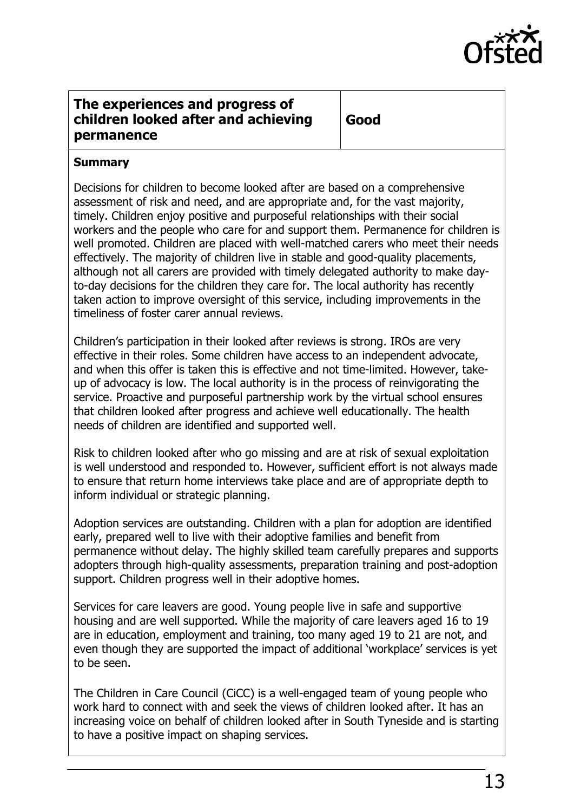

#### <span id="page-12-0"></span>**The experiences and progress of children looked after and achieving permanence**

**Good** 

#### **Summary**

Decisions for children to become looked after are based on a comprehensive assessment of risk and need, and are appropriate and, for the vast majority, timely. Children enjoy positive and purposeful relationships with their social workers and the people who care for and support them. Permanence for children is well promoted. Children are placed with well-matched carers who meet their needs effectively. The majority of children live in stable and good-quality placements, although not all carers are provided with timely delegated authority to make dayto-day decisions for the children they care for. The local authority has recently taken action to improve oversight of this service, including improvements in the timeliness of foster carer annual reviews.

Children's participation in their looked after reviews is strong. IROs are very effective in their roles. Some children have access to an independent advocate, and when this offer is taken this is effective and not time-limited. However, takeup of advocacy is low. The local authority is in the process of reinvigorating the service. Proactive and purposeful partnership work by the virtual school ensures that children looked after progress and achieve well educationally. The health needs of children are identified and supported well.

Risk to children looked after who go missing and are at risk of sexual exploitation is well understood and responded to. However, sufficient effort is not always made to ensure that return home interviews take place and are of appropriate depth to inform individual or strategic planning.

Adoption services are outstanding. Children with a plan for adoption are identified early, prepared well to live with their adoptive families and benefit from permanence without delay. The highly skilled team carefully prepares and supports adopters through high-quality assessments, preparation training and post-adoption support. Children progress well in their adoptive homes.

Services for care leavers are good. Young people live in safe and supportive housing and are well supported. While the majority of care leavers aged 16 to 19 are in education, employment and training, too many aged 19 to 21 are not, and even though they are supported the impact of additional 'workplace' services is yet to be seen.

The Children in Care Council (CiCC) is a well-engaged team of young people who work hard to connect with and seek the views of children looked after. It has an increasing voice on behalf of children looked after in South Tyneside and is starting to have a positive impact on shaping services.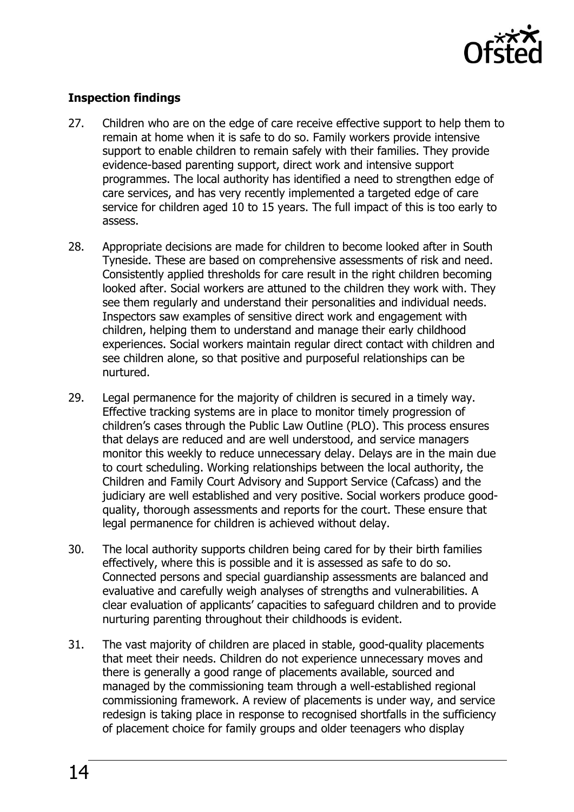

#### **Inspection findings**

- 27. Children who are on the edge of care receive effective support to help them to remain at home when it is safe to do so. Family workers provide intensive support to enable children to remain safely with their families. They provide evidence-based parenting support, direct work and intensive support programmes. The local authority has identified a need to strengthen edge of care services, and has very recently implemented a targeted edge of care service for children aged 10 to 15 years. The full impact of this is too early to assess.
- 28. Appropriate decisions are made for children to become looked after in South Tyneside. These are based on comprehensive assessments of risk and need. Consistently applied thresholds for care result in the right children becoming looked after. Social workers are attuned to the children they work with. They see them regularly and understand their personalities and individual needs. Inspectors saw examples of sensitive direct work and engagement with children, helping them to understand and manage their early childhood experiences. Social workers maintain regular direct contact with children and see children alone, so that positive and purposeful relationships can be nurtured.
- 29. Legal permanence for the majority of children is secured in a timely way. Effective tracking systems are in place to monitor timely progression of children's cases through the Public Law Outline (PLO). This process ensures that delays are reduced and are well understood, and service managers monitor this weekly to reduce unnecessary delay. Delays are in the main due to court scheduling. Working relationships between the local authority, the Children and Family Court Advisory and Support Service (Cafcass) and the judiciary are well established and very positive. Social workers produce goodquality, thorough assessments and reports for the court. These ensure that legal permanence for children is achieved without delay.
- 30. The local authority supports children being cared for by their birth families effectively, where this is possible and it is assessed as safe to do so. Connected persons and special guardianship assessments are balanced and evaluative and carefully weigh analyses of strengths and vulnerabilities. A clear evaluation of applicants' capacities to safeguard children and to provide nurturing parenting throughout their childhoods is evident.
- 31. The vast majority of children are placed in stable, good-quality placements that meet their needs. Children do not experience unnecessary moves and there is generally a good range of placements available, sourced and managed by the commissioning team through a well-established regional commissioning framework. A review of placements is under way, and service redesign is taking place in response to recognised shortfalls in the sufficiency of placement choice for family groups and older teenagers who display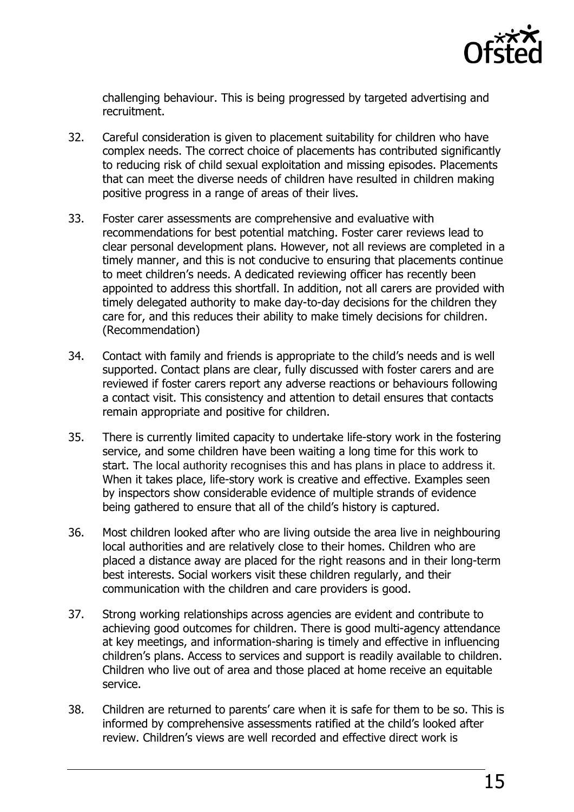

challenging behaviour. This is being progressed by targeted advertising and recruitment.

- 32. Careful consideration is given to placement suitability for children who have complex needs. The correct choice of placements has contributed significantly to reducing risk of child sexual exploitation and missing episodes. Placements that can meet the diverse needs of children have resulted in children making positive progress in a range of areas of their lives.
- 33. Foster carer assessments are comprehensive and evaluative with recommendations for best potential matching. Foster carer reviews lead to clear personal development plans. However, not all reviews are completed in a timely manner, and this is not conducive to ensuring that placements continue to meet children's needs. A dedicated reviewing officer has recently been appointed to address this shortfall. In addition, not all carers are provided with timely delegated authority to make day-to-day decisions for the children they care for, and this reduces their ability to make timely decisions for children. (Recommendation)
- 34. Contact with family and friends is appropriate to the child's needs and is well supported. Contact plans are clear, fully discussed with foster carers and are reviewed if foster carers report any adverse reactions or behaviours following a contact visit. This consistency and attention to detail ensures that contacts remain appropriate and positive for children.
- 35. There is currently limited capacity to undertake life-story work in the fostering service, and some children have been waiting a long time for this work to start. The local authority recognises this and has plans in place to address it. When it takes place, life-story work is creative and effective. Examples seen by inspectors show considerable evidence of multiple strands of evidence being gathered to ensure that all of the child's history is captured.
- 36. Most children looked after who are living outside the area live in neighbouring local authorities and are relatively close to their homes. Children who are placed a distance away are placed for the right reasons and in their long-term best interests. Social workers visit these children regularly, and their communication with the children and care providers is good.
- 37. Strong working relationships across agencies are evident and contribute to achieving good outcomes for children. There is good multi-agency attendance at key meetings, and information-sharing is timely and effective in influencing children's plans. Access to services and support is readily available to children. Children who live out of area and those placed at home receive an equitable service.
- 38. Children are returned to parents' care when it is safe for them to be so. This is informed by comprehensive assessments ratified at the child's looked after review. Children's views are well recorded and effective direct work is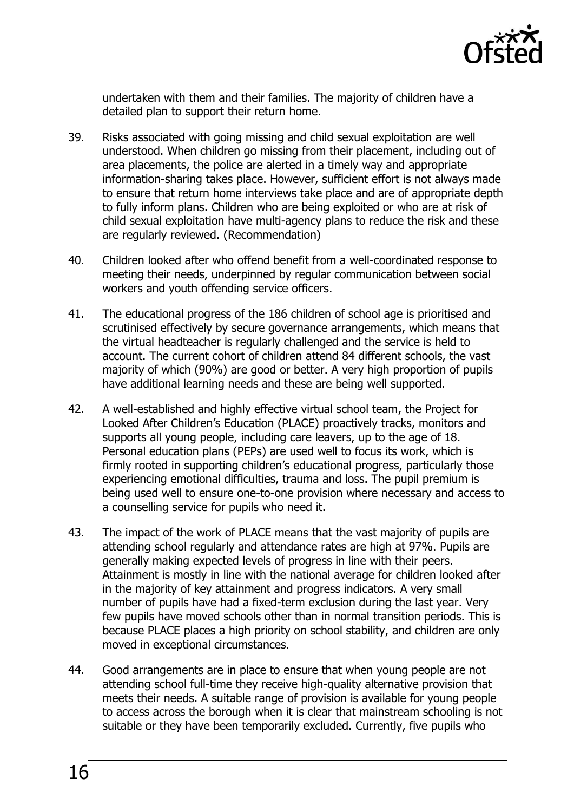

undertaken with them and their families. The majority of children have a detailed plan to support their return home.

- 39. Risks associated with going missing and child sexual exploitation are well understood. When children go missing from their placement, including out of area placements, the police are alerted in a timely way and appropriate information-sharing takes place. However, sufficient effort is not always made to ensure that return home interviews take place and are of appropriate depth to fully inform plans. Children who are being exploited or who are at risk of child sexual exploitation have multi-agency plans to reduce the risk and these are regularly reviewed. (Recommendation)
- 40. Children looked after who offend benefit from a well-coordinated response to meeting their needs, underpinned by regular communication between social workers and youth offending service officers.
- 41. The educational progress of the 186 children of school age is prioritised and scrutinised effectively by secure governance arrangements, which means that the virtual headteacher is regularly challenged and the service is held to account. The current cohort of children attend 84 different schools, the vast majority of which (90%) are good or better. A very high proportion of pupils have additional learning needs and these are being well supported.
- 42. A well-established and highly effective virtual school team, the Project for Looked After Children's Education (PLACE) proactively tracks, monitors and supports all young people, including care leavers, up to the age of 18. Personal education plans (PEPs) are used well to focus its work, which is firmly rooted in supporting children's educational progress, particularly those experiencing emotional difficulties, trauma and loss. The pupil premium is being used well to ensure one-to-one provision where necessary and access to a counselling service for pupils who need it.
- 43. The impact of the work of PLACE means that the vast majority of pupils are attending school regularly and attendance rates are high at 97%. Pupils are generally making expected levels of progress in line with their peers. Attainment is mostly in line with the national average for children looked after in the majority of key attainment and progress indicators. A very small number of pupils have had a fixed-term exclusion during the last year. Very few pupils have moved schools other than in normal transition periods. This is because PLACE places a high priority on school stability, and children are only moved in exceptional circumstances.
- 44. Good arrangements are in place to ensure that when young people are not attending school full-time they receive high-quality alternative provision that meets their needs. A suitable range of provision is available for young people to access across the borough when it is clear that mainstream schooling is not suitable or they have been temporarily excluded. Currently, five pupils who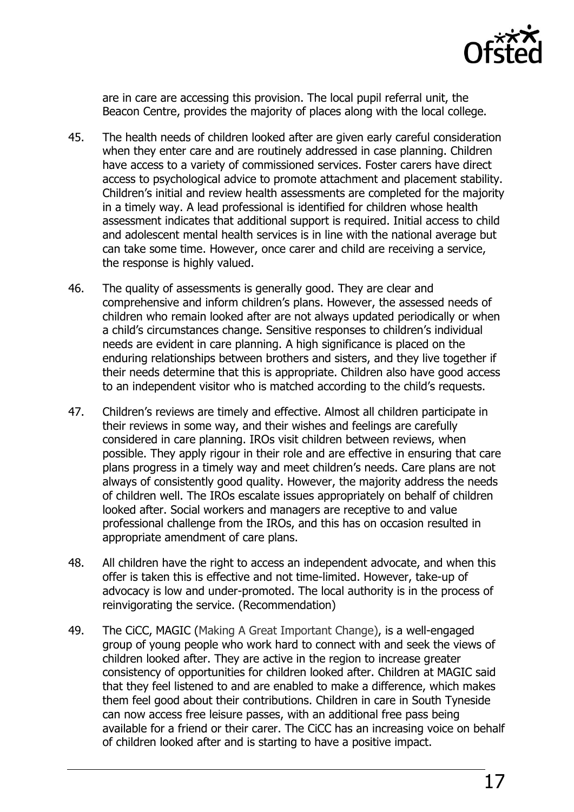

are in care are accessing this provision. The local pupil referral unit, the Beacon Centre, provides the majority of places along with the local college.

- 45. The health needs of children looked after are given early careful consideration when they enter care and are routinely addressed in case planning. Children have access to a variety of commissioned services. Foster carers have direct access to psychological advice to promote attachment and placement stability. Children's initial and review health assessments are completed for the majority in a timely way. A lead professional is identified for children whose health assessment indicates that additional support is required. Initial access to child and adolescent mental health services is in line with the national average but can take some time. However, once carer and child are receiving a service, the response is highly valued.
- 46. The quality of assessments is generally good. They are clear and comprehensive and inform children's plans. However, the assessed needs of children who remain looked after are not always updated periodically or when a child's circumstances change. Sensitive responses to children's individual needs are evident in care planning. A high significance is placed on the enduring relationships between brothers and sisters, and they live together if their needs determine that this is appropriate. Children also have good access to an independent visitor who is matched according to the child's requests.
- 47. Children's reviews are timely and effective. Almost all children participate in their reviews in some way, and their wishes and feelings are carefully considered in care planning. IROs visit children between reviews, when possible. They apply rigour in their role and are effective in ensuring that care plans progress in a timely way and meet children's needs. Care plans are not always of consistently good quality. However, the majority address the needs of children well. The IROs escalate issues appropriately on behalf of children looked after. Social workers and managers are receptive to and value professional challenge from the IROs, and this has on occasion resulted in appropriate amendment of care plans.
- 48. All children have the right to access an independent advocate, and when this offer is taken this is effective and not time-limited. However, take-up of advocacy is low and under-promoted. The local authority is in the process of reinvigorating the service. (Recommendation)
- 49. The CiCC, MAGIC (Making A Great Important Change), is a well-engaged group of young people who work hard to connect with and seek the views of children looked after. They are active in the region to increase greater consistency of opportunities for children looked after. Children at MAGIC said that they feel listened to and are enabled to make a difference, which makes them feel good about their contributions. Children in care in South Tyneside can now access free leisure passes, with an additional free pass being available for a friend or their carer. The CiCC has an increasing voice on behalf of children looked after and is starting to have a positive impact.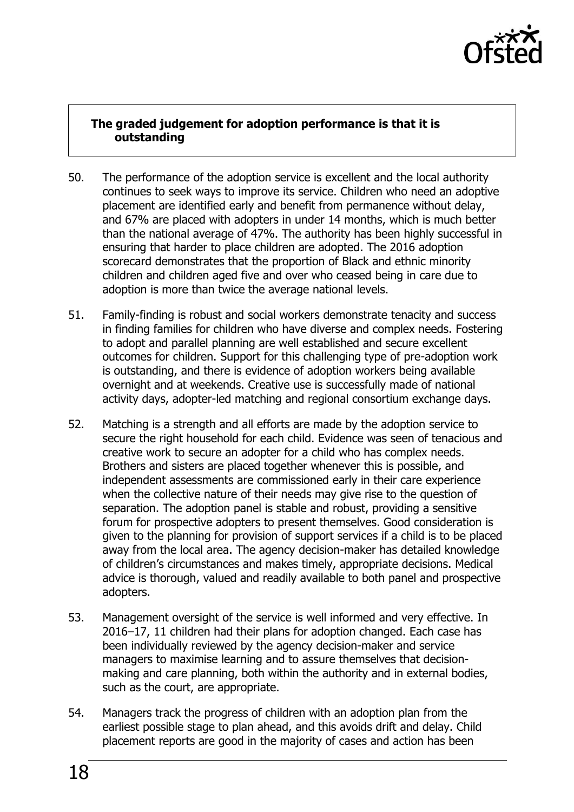

#### **The graded judgement for adoption performance is that it is outstanding**

- 50. The performance of the adoption service is excellent and the local authority continues to seek ways to improve its service. Children who need an adoptive placement are identified early and benefit from permanence without delay, and 67% are placed with adopters in under 14 months, which is much better than the national average of 47%. The authority has been highly successful in ensuring that harder to place children are adopted. The 2016 adoption scorecard demonstrates that the proportion of Black and ethnic minority children and children aged five and over who ceased being in care due to adoption is more than twice the average national levels.
- 51. Family-finding is robust and social workers demonstrate tenacity and success in finding families for children who have diverse and complex needs. Fostering to adopt and parallel planning are well established and secure excellent outcomes for children. Support for this challenging type of pre-adoption work is outstanding, and there is evidence of adoption workers being available overnight and at weekends. Creative use is successfully made of national activity days, adopter-led matching and regional consortium exchange days.
- 52. Matching is a strength and all efforts are made by the adoption service to secure the right household for each child. Evidence was seen of tenacious and creative work to secure an adopter for a child who has complex needs. Brothers and sisters are placed together whenever this is possible, and independent assessments are commissioned early in their care experience when the collective nature of their needs may give rise to the question of separation. The adoption panel is stable and robust, providing a sensitive forum for prospective adopters to present themselves. Good consideration is given to the planning for provision of support services if a child is to be placed away from the local area. The agency decision-maker has detailed knowledge of children's circumstances and makes timely, appropriate decisions. Medical advice is thorough, valued and readily available to both panel and prospective adopters.
- 53. Management oversight of the service is well informed and very effective. In 2016–17, 11 children had their plans for adoption changed. Each case has been individually reviewed by the agency decision-maker and service managers to maximise learning and to assure themselves that decisionmaking and care planning, both within the authority and in external bodies, such as the court, are appropriate.
- 54. Managers track the progress of children with an adoption plan from the earliest possible stage to plan ahead, and this avoids drift and delay. Child placement reports are good in the majority of cases and action has been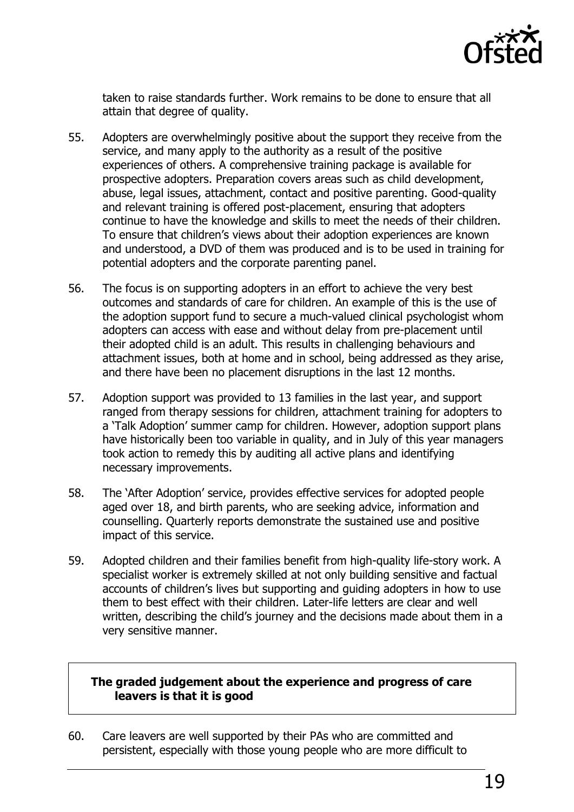

taken to raise standards further. Work remains to be done to ensure that all attain that degree of quality.

- 55. Adopters are overwhelmingly positive about the support they receive from the service, and many apply to the authority as a result of the positive experiences of others. A comprehensive training package is available for prospective adopters. Preparation covers areas such as child development, abuse, legal issues, attachment, contact and positive parenting. Good-quality and relevant training is offered post-placement, ensuring that adopters continue to have the knowledge and skills to meet the needs of their children. To ensure that children's views about their adoption experiences are known and understood, a DVD of them was produced and is to be used in training for potential adopters and the corporate parenting panel.
- 56. The focus is on supporting adopters in an effort to achieve the very best outcomes and standards of care for children. An example of this is the use of the adoption support fund to secure a much-valued clinical psychologist whom adopters can access with ease and without delay from pre-placement until their adopted child is an adult. This results in challenging behaviours and attachment issues, both at home and in school, being addressed as they arise, and there have been no placement disruptions in the last 12 months.
- 57. Adoption support was provided to 13 families in the last year, and support ranged from therapy sessions for children, attachment training for adopters to a 'Talk Adoption' summer camp for children. However, adoption support plans have historically been too variable in quality, and in July of this year managers took action to remedy this by auditing all active plans and identifying necessary improvements.
- 58. The 'After Adoption' service, provides effective services for adopted people aged over 18, and birth parents, who are seeking advice, information and counselling. Quarterly reports demonstrate the sustained use and positive impact of this service.
- 59. Adopted children and their families benefit from high-quality life-story work. A specialist worker is extremely skilled at not only building sensitive and factual accounts of children's lives but supporting and guiding adopters in how to use them to best effect with their children. Later-life letters are clear and well written, describing the child's journey and the decisions made about them in a very sensitive manner.

#### **The graded judgement about the experience and progress of care leavers is that it is good**

60. Care leavers are well supported by their PAs who are committed and persistent, especially with those young people who are more difficult to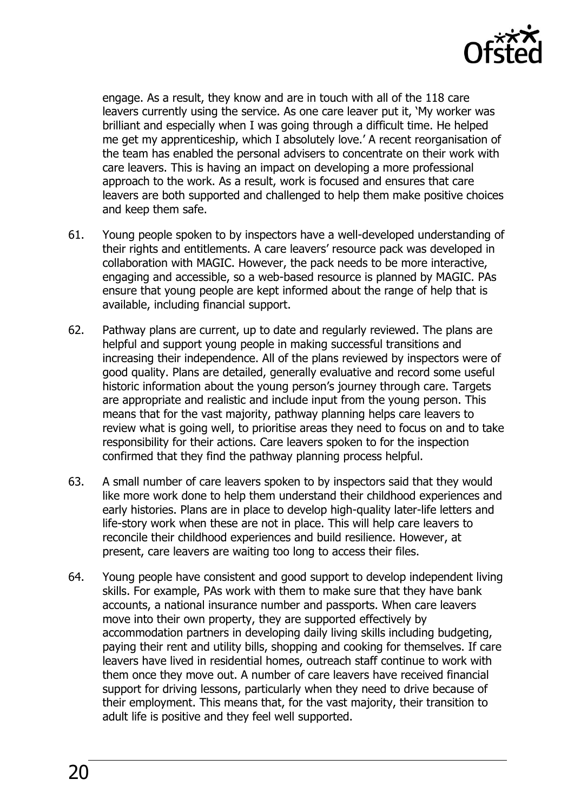

engage. As a result, they know and are in touch with all of the 118 care leavers currently using the service. As one care leaver put it, 'My worker was brilliant and especially when I was going through a difficult time. He helped me get my apprenticeship, which I absolutely love.' A recent reorganisation of the team has enabled the personal advisers to concentrate on their work with care leavers. This is having an impact on developing a more professional approach to the work. As a result, work is focused and ensures that care leavers are both supported and challenged to help them make positive choices and keep them safe.

- 61. Young people spoken to by inspectors have a well-developed understanding of their rights and entitlements. A care leavers' resource pack was developed in collaboration with MAGIC. However, the pack needs to be more interactive, engaging and accessible, so a web-based resource is planned by MAGIC. PAs ensure that young people are kept informed about the range of help that is available, including financial support.
- 62. Pathway plans are current, up to date and regularly reviewed. The plans are helpful and support young people in making successful transitions and increasing their independence. All of the plans reviewed by inspectors were of good quality. Plans are detailed, generally evaluative and record some useful historic information about the young person's journey through care. Targets are appropriate and realistic and include input from the young person. This means that for the vast majority, pathway planning helps care leavers to review what is going well, to prioritise areas they need to focus on and to take responsibility for their actions. Care leavers spoken to for the inspection confirmed that they find the pathway planning process helpful.
- 63. A small number of care leavers spoken to by inspectors said that they would like more work done to help them understand their childhood experiences and early histories. Plans are in place to develop high-quality later-life letters and life-story work when these are not in place. This will help care leavers to reconcile their childhood experiences and build resilience. However, at present, care leavers are waiting too long to access their files.
- 64. Young people have consistent and good support to develop independent living skills. For example, PAs work with them to make sure that they have bank accounts, a national insurance number and passports. When care leavers move into their own property, they are supported effectively by accommodation partners in developing daily living skills including budgeting, paying their rent and utility bills, shopping and cooking for themselves. If care leavers have lived in residential homes, outreach staff continue to work with them once they move out. A number of care leavers have received financial support for driving lessons, particularly when they need to drive because of their employment. This means that, for the vast majority, their transition to adult life is positive and they feel well supported.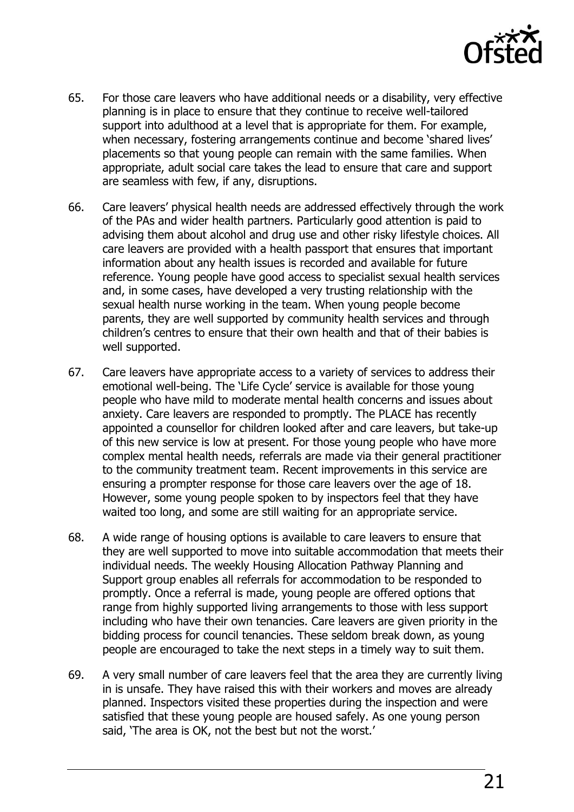

- 65. For those care leavers who have additional needs or a disability, very effective planning is in place to ensure that they continue to receive well-tailored support into adulthood at a level that is appropriate for them. For example, when necessary, fostering arrangements continue and become 'shared lives' placements so that young people can remain with the same families. When appropriate, adult social care takes the lead to ensure that care and support are seamless with few, if any, disruptions.
- 66. Care leavers' physical health needs are addressed effectively through the work of the PAs and wider health partners. Particularly good attention is paid to advising them about alcohol and drug use and other risky lifestyle choices. All care leavers are provided with a health passport that ensures that important information about any health issues is recorded and available for future reference. Young people have good access to specialist sexual health services and, in some cases, have developed a very trusting relationship with the sexual health nurse working in the team. When young people become parents, they are well supported by community health services and through children's centres to ensure that their own health and that of their babies is well supported.
- 67. Care leavers have appropriate access to a variety of services to address their emotional well-being. The 'Life Cycle' service is available for those young people who have mild to moderate mental health concerns and issues about anxiety. Care leavers are responded to promptly. The PLACE has recently appointed a counsellor for children looked after and care leavers, but take-up of this new service is low at present. For those young people who have more complex mental health needs, referrals are made via their general practitioner to the community treatment team. Recent improvements in this service are ensuring a prompter response for those care leavers over the age of 18. However, some young people spoken to by inspectors feel that they have waited too long, and some are still waiting for an appropriate service.
- 68. A wide range of housing options is available to care leavers to ensure that they are well supported to move into suitable accommodation that meets their individual needs. The weekly Housing Allocation Pathway Planning and Support group enables all referrals for accommodation to be responded to promptly. Once a referral is made, young people are offered options that range from highly supported living arrangements to those with less support including who have their own tenancies. Care leavers are given priority in the bidding process for council tenancies. These seldom break down, as young people are encouraged to take the next steps in a timely way to suit them.
- 69. A very small number of care leavers feel that the area they are currently living in is unsafe. They have raised this with their workers and moves are already planned. Inspectors visited these properties during the inspection and were satisfied that these young people are housed safely. As one young person said, 'The area is OK, not the best but not the worst.'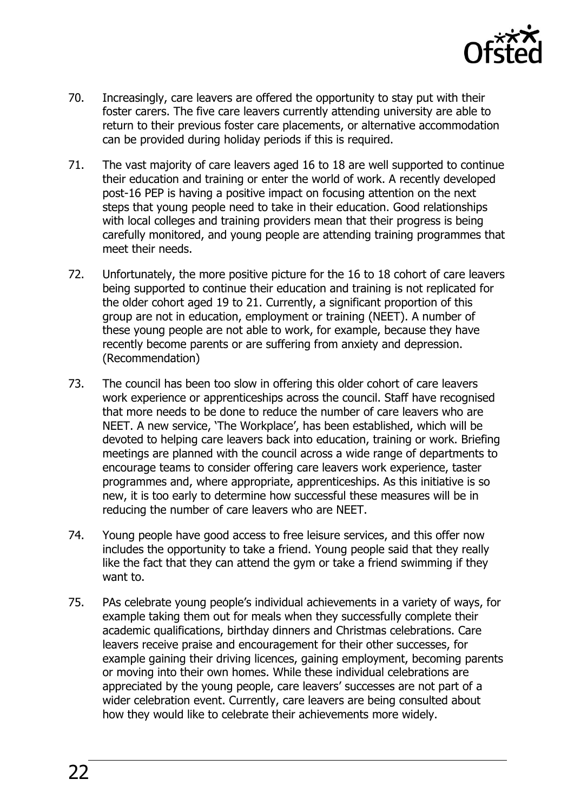

- 70. Increasingly, care leavers are offered the opportunity to stay put with their foster carers. The five care leavers currently attending university are able to return to their previous foster care placements, or alternative accommodation can be provided during holiday periods if this is required.
- 71. The vast majority of care leavers aged 16 to 18 are well supported to continue their education and training or enter the world of work. A recently developed post-16 PEP is having a positive impact on focusing attention on the next steps that young people need to take in their education. Good relationships with local colleges and training providers mean that their progress is being carefully monitored, and young people are attending training programmes that meet their needs.
- 72. Unfortunately, the more positive picture for the 16 to 18 cohort of care leavers being supported to continue their education and training is not replicated for the older cohort aged 19 to 21. Currently, a significant proportion of this group are not in education, employment or training (NEET). A number of these young people are not able to work, for example, because they have recently become parents or are suffering from anxiety and depression. (Recommendation)
- 73. The council has been too slow in offering this older cohort of care leavers work experience or apprenticeships across the council. Staff have recognised that more needs to be done to reduce the number of care leavers who are NEET. A new service, 'The Workplace', has been established, which will be devoted to helping care leavers back into education, training or work. Briefing meetings are planned with the council across a wide range of departments to encourage teams to consider offering care leavers work experience, taster programmes and, where appropriate, apprenticeships. As this initiative is so new, it is too early to determine how successful these measures will be in reducing the number of care leavers who are NEET.
- 74. Young people have good access to free leisure services, and this offer now includes the opportunity to take a friend. Young people said that they really like the fact that they can attend the gym or take a friend swimming if they want to.
- 75. PAs celebrate young people's individual achievements in a variety of ways, for example taking them out for meals when they successfully complete their academic qualifications, birthday dinners and Christmas celebrations. Care leavers receive praise and encouragement for their other successes, for example gaining their driving licences, gaining employment, becoming parents or moving into their own homes. While these individual celebrations are appreciated by the young people, care leavers' successes are not part of a wider celebration event. Currently, care leavers are being consulted about how they would like to celebrate their achievements more widely.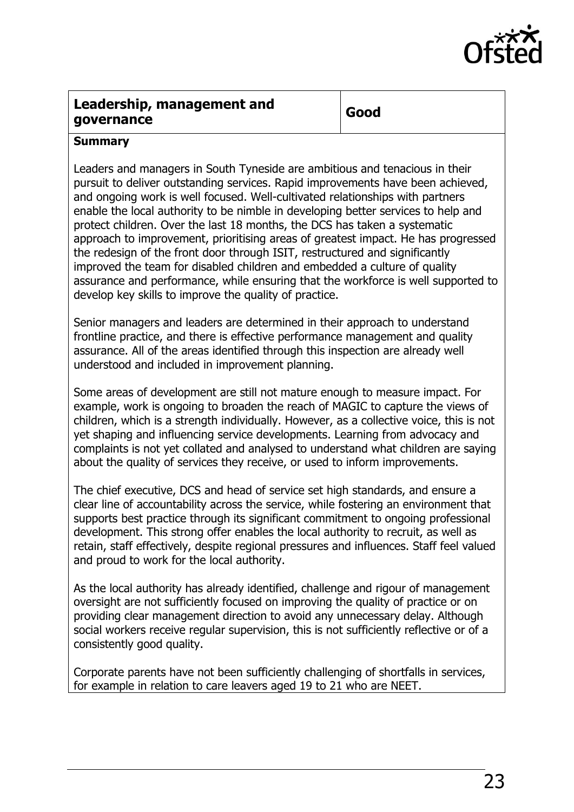

### <span id="page-22-0"></span>**Leadership, management and governance Good**

#### **Summary**

Leaders and managers in South Tyneside are ambitious and tenacious in their pursuit to deliver outstanding services. Rapid improvements have been achieved, and ongoing work is well focused. Well-cultivated relationships with partners enable the local authority to be nimble in developing better services to help and protect children. Over the last 18 months, the DCS has taken a systematic approach to improvement, prioritising areas of greatest impact. He has progressed the redesign of the front door through ISIT, restructured and significantly improved the team for disabled children and embedded a culture of quality assurance and performance, while ensuring that the workforce is well supported to develop key skills to improve the quality of practice.

Senior managers and leaders are determined in their approach to understand frontline practice, and there is effective performance management and quality assurance. All of the areas identified through this inspection are already well understood and included in improvement planning.

Some areas of development are still not mature enough to measure impact. For example, work is ongoing to broaden the reach of MAGIC to capture the views of children, which is a strength individually. However, as a collective voice, this is not yet shaping and influencing service developments. Learning from advocacy and complaints is not yet collated and analysed to understand what children are saying about the quality of services they receive, or used to inform improvements.

The chief executive, DCS and head of service set high standards, and ensure a clear line of accountability across the service, while fostering an environment that supports best practice through its significant commitment to ongoing professional development. This strong offer enables the local authority to recruit, as well as retain, staff effectively, despite regional pressures and influences. Staff feel valued and proud to work for the local authority.

As the local authority has already identified, challenge and rigour of management oversight are not sufficiently focused on improving the quality of practice or on providing clear management direction to avoid any unnecessary delay. Although social workers receive regular supervision, this is not sufficiently reflective or of a consistently good quality.

Corporate parents have not been sufficiently challenging of shortfalls in services, for example in relation to care leavers aged 19 to 21 who are NEET.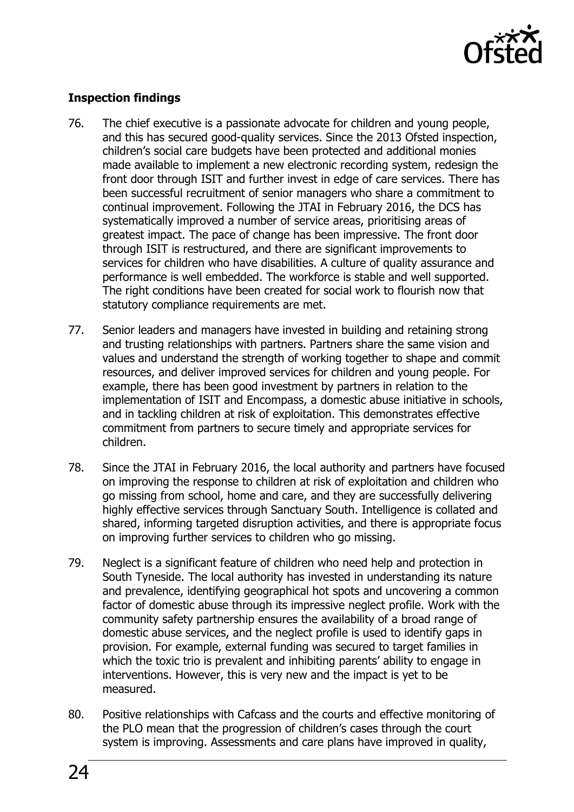

#### **Inspection findings**

- 76. The chief executive is a passionate advocate for children and young people, and this has secured good-quality services. Since the 2013 Ofsted inspection, children's social care budgets have been protected and additional monies made available to implement a new electronic recording system, redesign the front door through ISIT and further invest in edge of care services. There has been successful recruitment of senior managers who share a commitment to continual improvement. Following the JTAI in February 2016, the DCS has systematically improved a number of service areas, prioritising areas of greatest impact. The pace of change has been impressive. The front door through ISIT is restructured, and there are significant improvements to services for children who have disabilities. A culture of quality assurance and performance is well embedded. The workforce is stable and well supported. The right conditions have been created for social work to flourish now that statutory compliance requirements are met.
- 77. Senior leaders and managers have invested in building and retaining strong and trusting relationships with partners. Partners share the same vision and values and understand the strength of working together to shape and commit resources, and deliver improved services for children and young people. For example, there has been good investment by partners in relation to the implementation of ISIT and Encompass, a domestic abuse initiative in schools, and in tackling children at risk of exploitation. This demonstrates effective commitment from partners to secure timely and appropriate services for children.
- 78. Since the JTAI in February 2016, the local authority and partners have focused on improving the response to children at risk of exploitation and children who go missing from school, home and care, and they are successfully delivering highly effective services through Sanctuary South. Intelligence is collated and shared, informing targeted disruption activities, and there is appropriate focus on improving further services to children who go missing.
- 79. Neglect is a significant feature of children who need help and protection in South Tyneside. The local authority has invested in understanding its nature and prevalence, identifying geographical hot spots and uncovering a common factor of domestic abuse through its impressive neglect profile. Work with the community safety partnership ensures the availability of a broad range of domestic abuse services, and the neglect profile is used to identify gaps in provision. For example, external funding was secured to target families in which the toxic trio is prevalent and inhibiting parents' ability to engage in interventions. However, this is very new and the impact is yet to be measured.
- 80. Positive relationships with Cafcass and the courts and effective monitoring of the PLO mean that the progression of children's cases through the court system is improving. Assessments and care plans have improved in quality,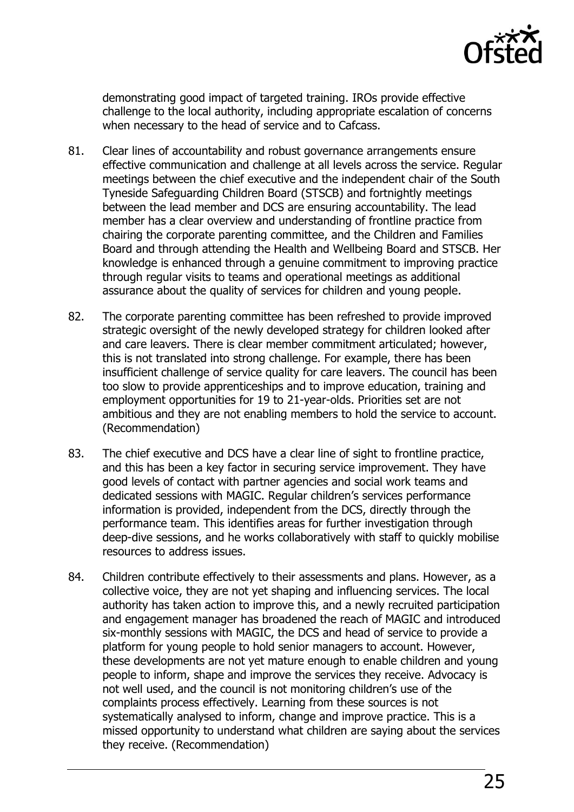

demonstrating good impact of targeted training. IROs provide effective challenge to the local authority, including appropriate escalation of concerns when necessary to the head of service and to Cafcass.

- 81. Clear lines of accountability and robust governance arrangements ensure effective communication and challenge at all levels across the service. Regular meetings between the chief executive and the independent chair of the South Tyneside Safeguarding Children Board (STSCB) and fortnightly meetings between the lead member and DCS are ensuring accountability. The lead member has a clear overview and understanding of frontline practice from chairing the corporate parenting committee, and the Children and Families Board and through attending the Health and Wellbeing Board and STSCB. Her knowledge is enhanced through a genuine commitment to improving practice through regular visits to teams and operational meetings as additional assurance about the quality of services for children and young people.
- 82. The corporate parenting committee has been refreshed to provide improved strategic oversight of the newly developed strategy for children looked after and care leavers. There is clear member commitment articulated; however, this is not translated into strong challenge. For example, there has been insufficient challenge of service quality for care leavers. The council has been too slow to provide apprenticeships and to improve education, training and employment opportunities for 19 to 21-year-olds. Priorities set are not ambitious and they are not enabling members to hold the service to account. (Recommendation)
- 83. The chief executive and DCS have a clear line of sight to frontline practice, and this has been a key factor in securing service improvement. They have good levels of contact with partner agencies and social work teams and dedicated sessions with MAGIC. Regular children's services performance information is provided, independent from the DCS, directly through the performance team. This identifies areas for further investigation through deep-dive sessions, and he works collaboratively with staff to quickly mobilise resources to address issues.
- 84. Children contribute effectively to their assessments and plans. However, as a collective voice, they are not yet shaping and influencing services. The local authority has taken action to improve this, and a newly recruited participation and engagement manager has broadened the reach of MAGIC and introduced six-monthly sessions with MAGIC, the DCS and head of service to provide a platform for young people to hold senior managers to account. However, these developments are not yet mature enough to enable children and young people to inform, shape and improve the services they receive. Advocacy is not well used, and the council is not monitoring children's use of the complaints process effectively. Learning from these sources is not systematically analysed to inform, change and improve practice. This is a missed opportunity to understand what children are saying about the services they receive. (Recommendation)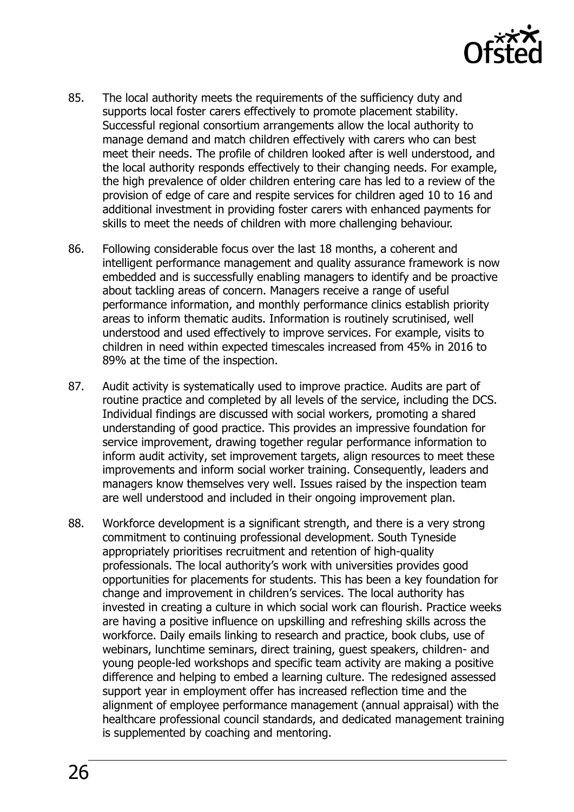

- 85. The local authority meets the requirements of the sufficiency duty and supports local foster carers effectively to promote placement stability. Successful regional consortium arrangements allow the local authority to manage demand and match children effectively with carers who can best meet their needs. The profile of children looked after is well understood, and the local authority responds effectively to their changing needs. For example, the high prevalence of older children entering care has led to a review of the provision of edge of care and respite services for children aged 10 to 16 and additional investment in providing foster carers with enhanced payments for skills to meet the needs of children with more challenging behaviour.
- 86. Following considerable focus over the last 18 months, a coherent and intelligent performance management and quality assurance framework is now embedded and is successfully enabling managers to identify and be proactive about tackling areas of concern. Managers receive a range of useful performance information, and monthly performance clinics establish priority areas to inform thematic audits. Information is routinely scrutinised, well understood and used effectively to improve services. For example, visits to children in need within expected timescales increased from 45% in 2016 to 89% at the time of the inspection.
- 87. Audit activity is systematically used to improve practice. Audits are part of routine practice and completed by all levels of the service, including the DCS. Individual findings are discussed with social workers, promoting a shared understanding of good practice. This provides an impressive foundation for service improvement, drawing together regular performance information to inform audit activity, set improvement targets, align resources to meet these improvements and inform social worker training. Consequently, leaders and managers know themselves very well. Issues raised by the inspection team are well understood and included in their ongoing improvement plan.
- 88. Workforce development is a significant strength, and there is a very strong commitment to continuing professional development. South Tyneside appropriately prioritises recruitment and retention of high-quality professionals. The local authority's work with universities provides good opportunities for placements for students. This has been a key foundation for change and improvement in children's services. The local authority has invested in creating a culture in which social work can flourish. Practice weeks are having a positive influence on upskilling and refreshing skills across the workforce. Daily emails linking to research and practice, book clubs, use of webinars, lunchtime seminars, direct training, guest speakers, children- and young people-led workshops and specific team activity are making a positive difference and helping to embed a learning culture. The redesigned assessed support year in employment offer has increased reflection time and the alignment of employee performance management (annual appraisal) with the healthcare professional council standards, and dedicated management training is supplemented by coaching and mentoring.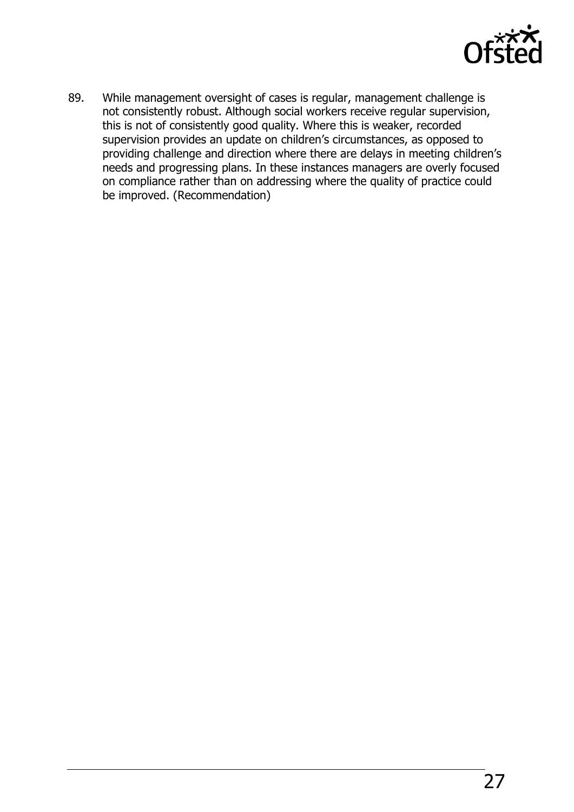

89. While management oversight of cases is regular, management challenge is not consistently robust. Although social workers receive regular supervision, this is not of consistently good quality. Where this is weaker, recorded supervision provides an update on children's circumstances, as opposed to providing challenge and direction where there are delays in meeting children's needs and progressing plans. In these instances managers are overly focused on compliance rather than on addressing where the quality of practice could be improved. (Recommendation)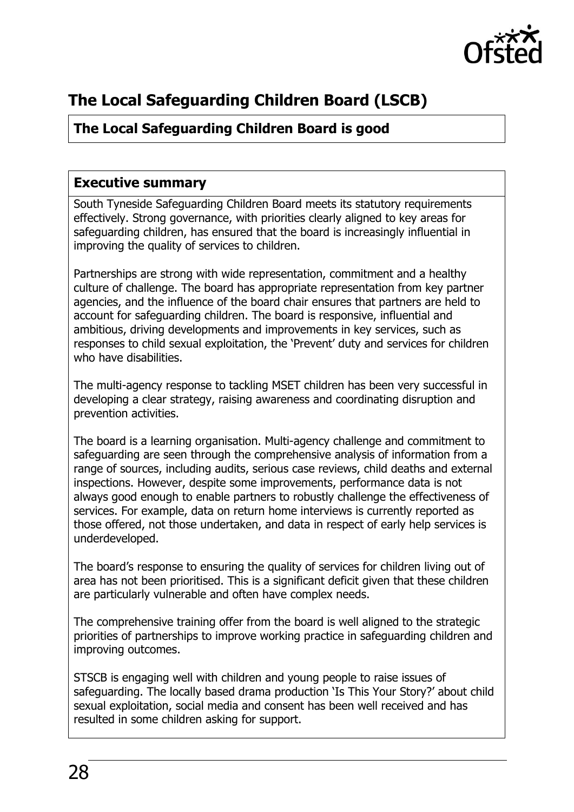

# <span id="page-27-0"></span>**The Local Safeguarding Children Board (LSCB)**

# **The Local Safeguarding Children Board is good**

#### <span id="page-27-1"></span>**Executive summary**

South Tyneside Safeguarding Children Board meets its statutory requirements effectively. Strong governance, with priorities clearly aligned to key areas for safeguarding children, has ensured that the board is increasingly influential in improving the quality of services to children.

Partnerships are strong with wide representation, commitment and a healthy culture of challenge. The board has appropriate representation from key partner agencies, and the influence of the board chair ensures that partners are held to account for safeguarding children. The board is responsive, influential and ambitious, driving developments and improvements in key services, such as responses to child sexual exploitation, the 'Prevent' duty and services for children who have disabilities.

The multi-agency response to tackling MSET children has been very successful in developing a clear strategy, raising awareness and coordinating disruption and prevention activities.

The board is a learning organisation. Multi-agency challenge and commitment to safeguarding are seen through the comprehensive analysis of information from a range of sources, including audits, serious case reviews, child deaths and external inspections. However, despite some improvements, performance data is not always good enough to enable partners to robustly challenge the effectiveness of services. For example, data on return home interviews is currently reported as those offered, not those undertaken, and data in respect of early help services is underdeveloped.

The board's response to ensuring the quality of services for children living out of area has not been prioritised. This is a significant deficit given that these children are particularly vulnerable and often have complex needs.

The comprehensive training offer from the board is well aligned to the strategic priorities of partnerships to improve working practice in safeguarding children and improving outcomes.

STSCB is engaging well with children and young people to raise issues of safeguarding. The locally based drama production 'Is This Your Story?' about child sexual exploitation, social media and consent has been well received and has resulted in some children asking for support.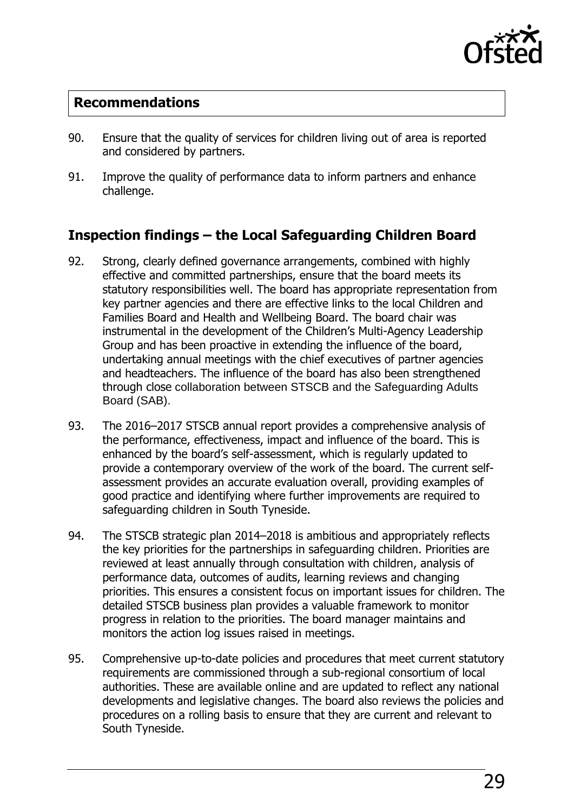

#### <span id="page-28-0"></span>**Recommendations**

- 90. Ensure that the quality of services for children living out of area is reported and considered by partners.
- 91. Improve the quality of performance data to inform partners and enhance challenge.

# <span id="page-28-1"></span>**Inspection findings – the Local Safeguarding Children Board**

- 92. Strong, clearly defined governance arrangements, combined with highly effective and committed partnerships, ensure that the board meets its statutory responsibilities well. The board has appropriate representation from key partner agencies and there are effective links to the local Children and Families Board and Health and Wellbeing Board. The board chair was instrumental in the development of the Children's Multi-Agency Leadership Group and has been proactive in extending the influence of the board, undertaking annual meetings with the chief executives of partner agencies and headteachers. The influence of the board has also been strengthened through close collaboration between STSCB and the Safeguarding Adults Board (SAB).
- 93. The 2016–2017 STSCB annual report provides a comprehensive analysis of the performance, effectiveness, impact and influence of the board. This is enhanced by the board's self-assessment, which is regularly updated to provide a contemporary overview of the work of the board. The current selfassessment provides an accurate evaluation overall, providing examples of good practice and identifying where further improvements are required to safeguarding children in South Tyneside.
- 94. The STSCB strategic plan 2014–2018 is ambitious and appropriately reflects the key priorities for the partnerships in safeguarding children. Priorities are reviewed at least annually through consultation with children, analysis of performance data, outcomes of audits, learning reviews and changing priorities. This ensures a consistent focus on important issues for children. The detailed STSCB business plan provides a valuable framework to monitor progress in relation to the priorities. The board manager maintains and monitors the action log issues raised in meetings.
- 95. Comprehensive up-to-date policies and procedures that meet current statutory requirements are commissioned through a sub-regional consortium of local authorities. These are available online and are updated to reflect any national developments and legislative changes. The board also reviews the policies and procedures on a rolling basis to ensure that they are current and relevant to South Tyneside.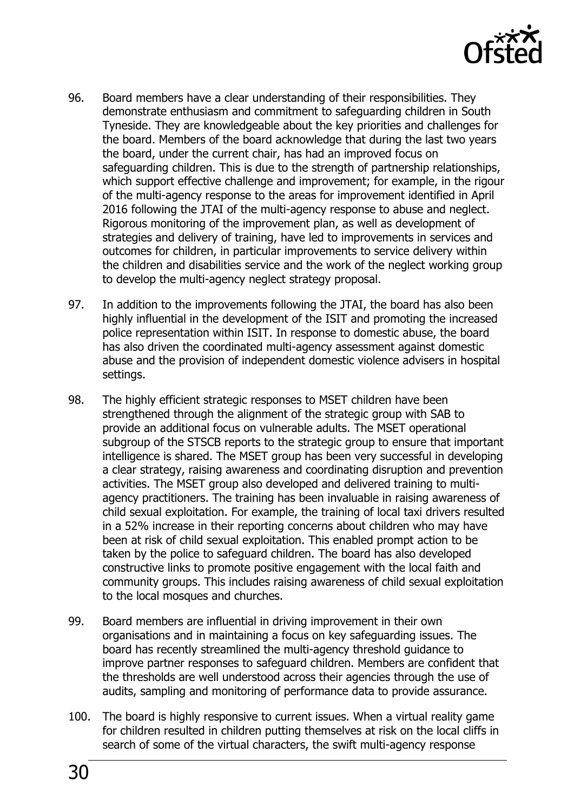

- 96. Board members have a clear understanding of their responsibilities. They demonstrate enthusiasm and commitment to safeguarding children in South Tyneside. They are knowledgeable about the key priorities and challenges for the board. Members of the board acknowledge that during the last two years the board, under the current chair, has had an improved focus on safeguarding children. This is due to the strength of partnership relationships, which support effective challenge and improvement; for example, in the rigour of the multi-agency response to the areas for improvement identified in April 2016 following the JTAI of the multi-agency response to abuse and neglect. Rigorous monitoring of the improvement plan, as well as development of strategies and delivery of training, have led to improvements in services and outcomes for children, in particular improvements to service delivery within the children and disabilities service and the work of the neglect working group to develop the multi-agency neglect strategy proposal.
- 97. In addition to the improvements following the JTAI, the board has also been highly influential in the development of the ISIT and promoting the increased police representation within ISIT. In response to domestic abuse, the board has also driven the coordinated multi-agency assessment against domestic abuse and the provision of independent domestic violence advisers in hospital settings.
- 98. The highly efficient strategic responses to MSET children have been strengthened through the alignment of the strategic group with SAB to provide an additional focus on vulnerable adults. The MSET operational subgroup of the STSCB reports to the strategic group to ensure that important intelligence is shared. The MSET group has been very successful in developing a clear strategy, raising awareness and coordinating disruption and prevention activities. The MSET group also developed and delivered training to multiagency practitioners. The training has been invaluable in raising awareness of child sexual exploitation. For example, the training of local taxi drivers resulted in a 52% increase in their reporting concerns about children who may have been at risk of child sexual exploitation. This enabled prompt action to be taken by the police to safeguard children. The board has also developed constructive links to promote positive engagement with the local faith and community groups. This includes raising awareness of child sexual exploitation to the local mosques and churches.
- 99. Board members are influential in driving improvement in their own organisations and in maintaining a focus on key safeguarding issues. The board has recently streamlined the multi-agency threshold guidance to improve partner responses to safeguard children. Members are confident that the thresholds are well understood across their agencies through the use of audits, sampling and monitoring of performance data to provide assurance.
- 100. The board is highly responsive to current issues. When a virtual reality game for children resulted in children putting themselves at risk on the local cliffs in search of some of the virtual characters, the swift multi-agency response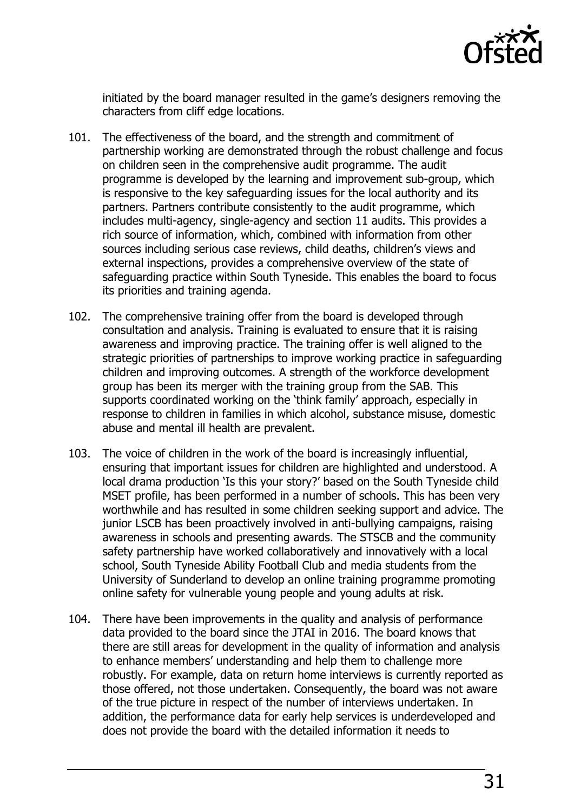

initiated by the board manager resulted in the game's designers removing the characters from cliff edge locations.

- 101. The effectiveness of the board, and the strength and commitment of partnership working are demonstrated through the robust challenge and focus on children seen in the comprehensive audit programme. The audit programme is developed by the learning and improvement sub-group, which is responsive to the key safeguarding issues for the local authority and its partners. Partners contribute consistently to the audit programme, which includes multi-agency, single-agency and section 11 audits. This provides a rich source of information, which, combined with information from other sources including serious case reviews, child deaths, children's views and external inspections, provides a comprehensive overview of the state of safeguarding practice within South Tyneside. This enables the board to focus its priorities and training agenda.
- 102. The comprehensive training offer from the board is developed through consultation and analysis. Training is evaluated to ensure that it is raising awareness and improving practice. The training offer is well aligned to the strategic priorities of partnerships to improve working practice in safeguarding children and improving outcomes. A strength of the workforce development group has been its merger with the training group from the SAB. This supports coordinated working on the 'think family' approach, especially in response to children in families in which alcohol, substance misuse, domestic abuse and mental ill health are prevalent.
- 103. The voice of children in the work of the board is increasingly influential, ensuring that important issues for children are highlighted and understood. A local drama production 'Is this your story?' based on the South Tyneside child MSET profile, has been performed in a number of schools. This has been very worthwhile and has resulted in some children seeking support and advice. The junior LSCB has been proactively involved in anti-bullying campaigns, raising awareness in schools and presenting awards. The STSCB and the community safety partnership have worked collaboratively and innovatively with a local school, South Tyneside Ability Football Club and media students from the University of Sunderland to develop an online training programme promoting online safety for vulnerable young people and young adults at risk.
- 104. There have been improvements in the quality and analysis of performance data provided to the board since the JTAI in 2016. The board knows that there are still areas for development in the quality of information and analysis to enhance members' understanding and help them to challenge more robustly. For example, data on return home interviews is currently reported as those offered, not those undertaken. Consequently, the board was not aware of the true picture in respect of the number of interviews undertaken. In addition, the performance data for early help services is underdeveloped and does not provide the board with the detailed information it needs to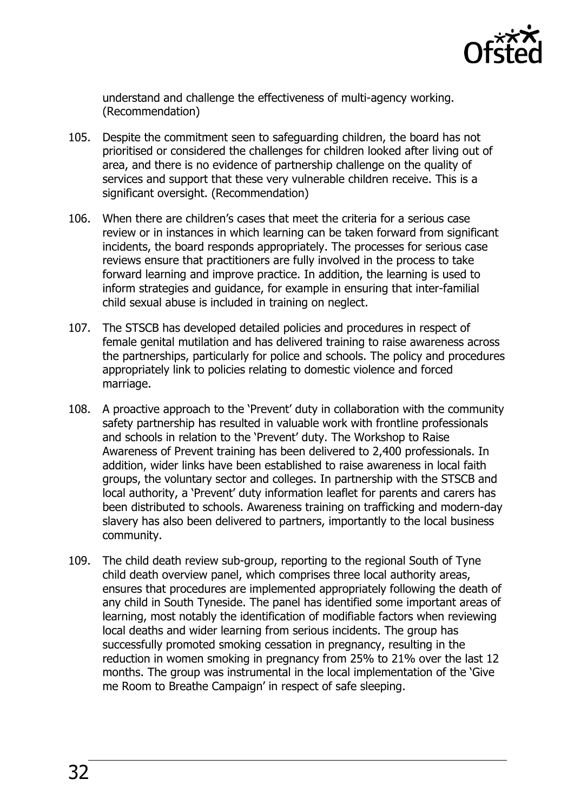

understand and challenge the effectiveness of multi-agency working. (Recommendation)

- 105. Despite the commitment seen to safeguarding children, the board has not prioritised or considered the challenges for children looked after living out of area, and there is no evidence of partnership challenge on the quality of services and support that these very vulnerable children receive. This is a significant oversight. (Recommendation)
- 106. When there are children's cases that meet the criteria for a serious case review or in instances in which learning can be taken forward from significant incidents, the board responds appropriately. The processes for serious case reviews ensure that practitioners are fully involved in the process to take forward learning and improve practice. In addition, the learning is used to inform strategies and guidance, for example in ensuring that inter-familial child sexual abuse is included in training on neglect.
- 107. The STSCB has developed detailed policies and procedures in respect of female genital mutilation and has delivered training to raise awareness across the partnerships, particularly for police and schools. The policy and procedures appropriately link to policies relating to domestic violence and forced marriage.
- 108. A proactive approach to the 'Prevent' duty in collaboration with the community safety partnership has resulted in valuable work with frontline professionals and schools in relation to the 'Prevent' duty. The Workshop to Raise Awareness of Prevent training has been delivered to 2,400 professionals. In addition, wider links have been established to raise awareness in local faith groups, the voluntary sector and colleges. In partnership with the STSCB and local authority, a 'Prevent' duty information leaflet for parents and carers has been distributed to schools. Awareness training on trafficking and modern-day slavery has also been delivered to partners, importantly to the local business community.
- 109. The child death review sub-group, reporting to the regional South of Tyne child death overview panel, which comprises three local authority areas, ensures that procedures are implemented appropriately following the death of any child in South Tyneside. The panel has identified some important areas of learning, most notably the identification of modifiable factors when reviewing local deaths and wider learning from serious incidents. The group has successfully promoted smoking cessation in pregnancy, resulting in the reduction in women smoking in pregnancy from 25% to 21% over the last 12 months. The group was instrumental in the local implementation of the 'Give me Room to Breathe Campaign' in respect of safe sleeping.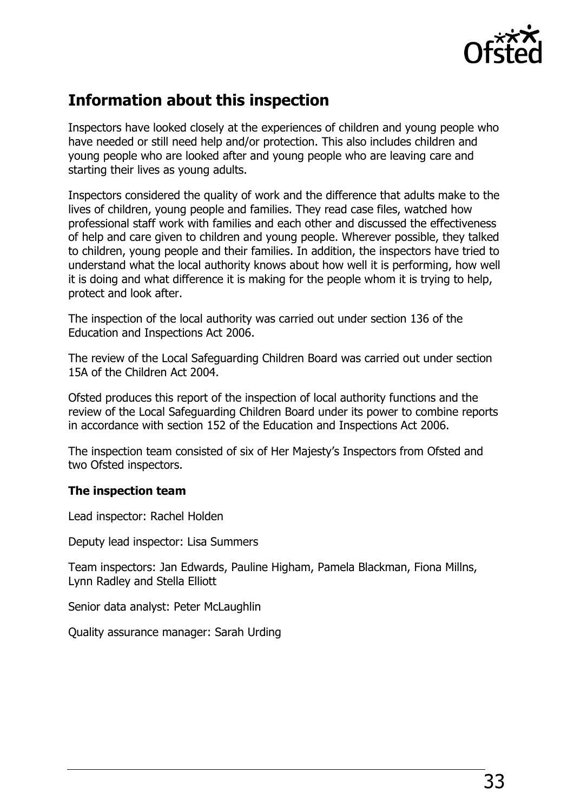

# <span id="page-32-0"></span>**Information about this inspection**

Inspectors have looked closely at the experiences of children and young people who have needed or still need help and/or protection. This also includes children and young people who are looked after and young people who are leaving care and starting their lives as young adults.

Inspectors considered the quality of work and the difference that adults make to the lives of children, young people and families. They read case files, watched how professional staff work with families and each other and discussed the effectiveness of help and care given to children and young people. Wherever possible, they talked to children, young people and their families. In addition, the inspectors have tried to understand what the local authority knows about how well it is performing, how well it is doing and what difference it is making for the people whom it is trying to help, protect and look after.

The inspection of the local authority was carried out under section 136 of the Education and Inspections Act 2006.

The review of the Local Safeguarding Children Board was carried out under section 15A of the Children Act 2004.

Ofsted produces this report of the inspection of local authority functions and the review of the Local Safeguarding Children Board under its power to combine reports in accordance with section 152 of the Education and Inspections Act 2006.

The inspection team consisted of six of Her Majesty's Inspectors from Ofsted and two Ofsted inspectors.

#### **The inspection team**

Lead inspector: Rachel Holden

Deputy lead inspector: Lisa Summers

Team inspectors: Jan Edwards, Pauline Higham, Pamela Blackman, Fiona Millns, Lynn Radley and Stella Elliott

Senior data analyst: Peter McLaughlin

Quality assurance manager: Sarah Urding